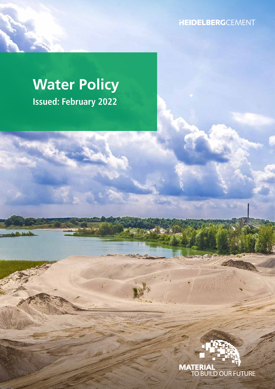**HEIDELBERG**CEMENT

# **Water Policy Issued: February 2022**

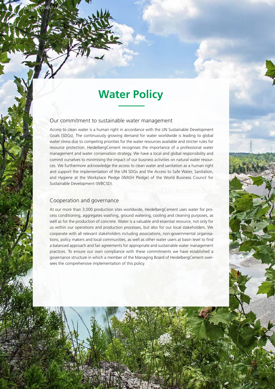## **Water Policy**

#### Our commitment to sustainable water management

Access to clean water is a human right in accordance with the UN Sustainable Development Goals (SDGs). The continuously growing demand for water worldwide is leading to global water stress due to competing priorities for the water resources available and stricter rules for resource protection. HeidelbergCement recognises the importance of a professional water management and water conservation strategy. We have a local and global responsibility and commit ourselves to minimising the impact of our business activities on natural water resources. We furthermore acknowledge the access to clean water and sanitation as a human right and support the implementation of the UN SDGs and the Access to Safe Water, Sanitation, and Hygiene at the Workplace Pledge (WASH Pledge) of the World Business Council for Sustainable Development (WBCSD).

#### Cooperation and governance

HEIDELBERGCEMENT AG

CLIMATE POLICY AZUZ

At our more than 3,000 production sites worldwide, HeidelbergCement uses water for process conditioning, aggregates washing, ground watering, cooling and cleaning purposes, as well as for the production of concrete. Water is a valuable and essential resource, not only for us within our operations and production processes, but also for our local stakeholders. We cooperate with all relevant stakeholders including associations, non-governmental organisations, policy makers and local communities, as well as other water users at basin level to find a balanced approach and fair agreements for appropriate and sustainable water management practices. To ensure our own compliance with these commitments we have established a governance structure in which a member of the Managing Board of HeidelbergCement oversees the comprehensive implementation of this policy.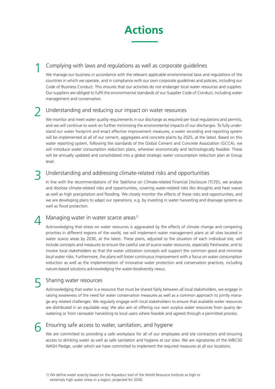

#### Complying with laws and regulations as well as corporate guidelines 1

We manage our business in accordance with the relevant applicable environmental laws and regulations of the countries in which we operate, and in compliance with our own corporate guidelines and policies, including our Code of Business Conduct. This ensures that our activities do not endanger local water resources and supplies. Our suppliers are obliged to fulfil the environmental standards of our Supplier Code of Conduct, including water management and conservation.

#### Understanding and reducing our impact on water resources 2

We monitor and meet water quality requirements in our discharge as required per local requlations and permits, and we will continue to work on further minimising the environmental impacts of our discharges. To fully understand our water footprint and enact effective improvement measures, a water recording and reporting system will be implemented at all of our cement, aggregates and concrete plants by 2025, at the latest. Based on this water reporting system, following the standards of the Global Cement and Concrete Association (GCCA), we will introduce water consumption reduction plans, wherever economically and technologically feasible. These will be annually updated and consolidated into a global strategic water consumption reduction plan at Group level.

#### Understanding and addressing climate-related risks and opportunities 3

In line with the recommendations of the Taskforce on Climate-related Financial Disclosure (TCFD), we analyse and disclose climate-related risks and opportunities, covering water-related risks like droughts and heat waves as well as high precipitation and flooding. We closely monitor the effects of these risks and opportunities, and we are developing plans to adapt our operations, e.g. by investing in water harvesting and drainage systems as well as flood protection.

#### Managing water in water scarce areas<sup>1)</sup> 4

Acknowledging that stress on water resources is aggravated by the effects of climate change and competing priorities in different regions of the world, we will implement water management plans at all sites located in water scarce areas by 2030, at the latest. These plans, adjusted to the situation of each individual site, will include concepts and measures to ensure the careful use of scarce water resources, especially freshwater, and to involve local stakeholders so that the water utilization concepts will support the common good and minimise local water risks. Furthermore, the plans will foster continuous improvement with a focus on water consumption reduction as well as the implementation of innovative water protection and conservation practices, including nature-based solutions acknowledging the water-biodiversity nexus.

#### Sharing water resources 5

Acknowledging that water is a resource that must be shared fairly between all local stakeholders, we engage in raising awareness of the need for water conservation measures as well as a common approach to jointly manage any related challenges. We regularly engage with local stakeholders to ensure that available water resources are distributed in an equitable way. We also aim at offering our own surplus water resources from quarry dewatering or from rainwater harvesting to local users where feasible and agreed through a permitted process.

#### Ensuring safe access to water, sanitation, and hygiene 6

We are committed to providing a safe workplace for all of our employees and site contractors and ensuring access to drinking water as well as safe sanitation and hygiene at our sites. We are signatories of the WBCSD WASH Pledge, under which we have committed to implement the required measures at all our locations.

<sup>1)</sup> We define water scarcity based on the Aqueduct tool of the World Resource Institute as high or extremely high water stress in a region, projected for 2030.